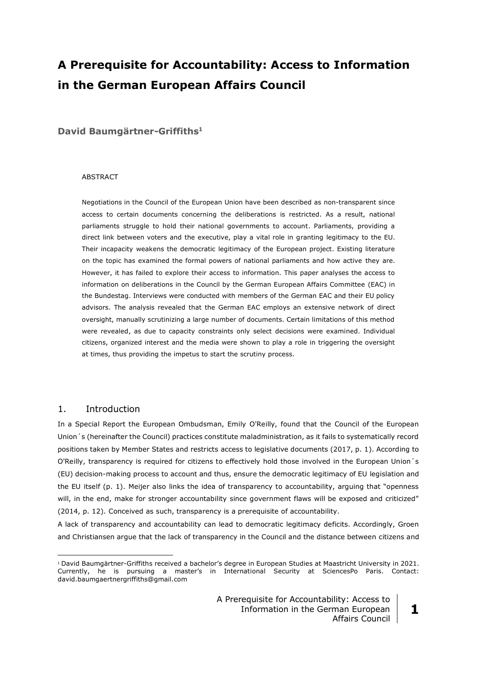# **A Prerequisite for Accountability: Access to Information in the German European Affairs Council**

**David Baumgärtner-Griffiths<sup>1</sup>**

#### ABSTRACT

Negotiations in the Council of the European Union have been described as non-transparent since access to certain documents concerning the deliberations is restricted. As a result, national parliaments struggle to hold their national governments to account. Parliaments, providing a direct link between voters and the executive, play a vital role in granting legitimacy to the EU. Their incapacity weakens the democratic legitimacy of the European project. Existing literature on the topic has examined the formal powers of national parliaments and how active they are. However, it has failed to explore their access to information. This paper analyses the access to information on deliberations in the Council by the German European Affairs Committee (EAC) in the Bundestag. Interviews were conducted with members of the German EAC and their EU policy advisors. The analysis revealed that the German EAC employs an extensive network of direct oversight, manually scrutinizing a large number of documents. Certain limitations of this method were revealed, as due to capacity constraints only select decisions were examined. Individual citizens, organized interest and the media were shown to play a role in triggering the oversight at times, thus providing the impetus to start the scrutiny process.

# 1. Introduction

<u>.</u>

In a Special Report the European Ombudsman, Emily O'Reilly, found that the Council of the European Union´s (hereinafter the Council) practices constitute maladministration, as it fails to systematically record positions taken by Member States and restricts access to legislative documents (2017, p. 1). According to O'Reilly, transparency is required for citizens to effectively hold those involved in the European Union´s (EU) decision-making process to account and thus, ensure the democratic legitimacy of EU legislation and the EU itself (p. 1). Meijer also links the idea of transparency to accountability, arguing that "openness will, in the end, make for stronger accountability since government flaws will be exposed and criticized" (2014, p. 12). Conceived as such, transparency is a prerequisite of accountability.

A lack of transparency and accountability can lead to democratic legitimacy deficits. Accordingly, Groen and Christiansen argue that the lack of transparency in the Council and the distance between citizens and

<sup>1</sup> David Baumgärtner-Griffiths received a bachelor's degree in European Studies at Maastricht University in 2021. Currently, he is pursuing a master's in International Security at SciencesPo Paris. Contact: david.baumgaertnergriffiths@gmail.com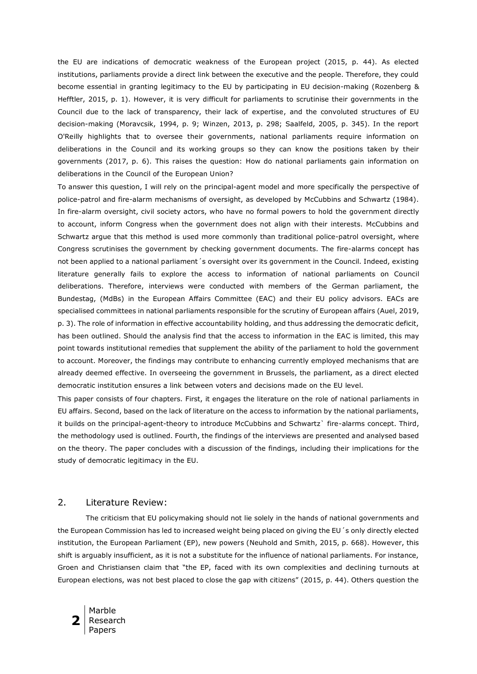the EU are indications of democratic weakness of the European project (2015, p. 44). As elected institutions, parliaments provide a direct link between the executive and the people. Therefore, they could become essential in granting legitimacy to the EU by participating in EU decision-making (Rozenberg & Hefftler, 2015, p. 1). However, it is very difficult for parliaments to scrutinise their governments in the Council due to the lack of transparency, their lack of expertise, and the convoluted structures of EU decision-making (Moravcsik, 1994, p. 9; Winzen, 2013, p. 298; Saalfeld, 2005, p. 345). In the report O'Reilly highlights that to oversee their governments, national parliaments require information on deliberations in the Council and its working groups so they can know the positions taken by their governments (2017, p. 6). This raises the question: How do national parliaments gain information on deliberations in the Council of the European Union?

To answer this question, I will rely on the principal-agent model and more specifically the perspective of police-patrol and fire-alarm mechanisms of oversight, as developed by McCubbins and Schwartz (1984). In fire-alarm oversight, civil society actors, who have no formal powers to hold the government directly to account, inform Congress when the government does not align with their interests. McCubbins and Schwartz argue that this method is used more commonly than traditional police-patrol oversight, where Congress scrutinises the government by checking government documents. The fire-alarms concept has not been applied to a national parliament´s oversight over its government in the Council. Indeed, existing literature generally fails to explore the access to information of national parliaments on Council deliberations. Therefore, interviews were conducted with members of the German parliament, the Bundestag, (MdBs) in the European Affairs Committee (EAC) and their EU policy advisors. EACs are specialised committees in national parliaments responsible for the scrutiny of European affairs (Auel, 2019, p. 3). The role of information in effective accountability holding, and thus addressing the democratic deficit, has been outlined. Should the analysis find that the access to information in the EAC is limited, this may point towards institutional remedies that supplement the ability of the parliament to hold the government to account. Moreover, the findings may contribute to enhancing currently employed mechanisms that are already deemed effective. In overseeing the government in Brussels, the parliament, as a direct elected democratic institution ensures a link between voters and decisions made on the EU level.

This paper consists of four chapters. First, it engages the literature on the role of national parliaments in EU affairs. Second, based on the lack of literature on the access to information by the national parliaments, it builds on the principal-agent-theory to introduce McCubbins and Schwartz` fire-alarms concept. Third, the methodology used is outlined. Fourth, the findings of the interviews are presented and analysed based on the theory. The paper concludes with a discussion of the findings, including their implications for the study of democratic legitimacy in the EU.

## 2. Literature Review:

The criticism that EU policymaking should not lie solely in the hands of national governments and the European Commission has led to increased weight being placed on giving the EU´s only directly elected institution, the European Parliament (EP), new powers (Neuhold and Smith, 2015, p. 668). However, this shift is arguably insufficient, as it is not a substitute for the influence of national parliaments. For instance, Groen and Christiansen claim that "the EP, faced with its own complexities and declining turnouts at European elections, was not best placed to close the gap with citizens" (2015, p. 44). Others question the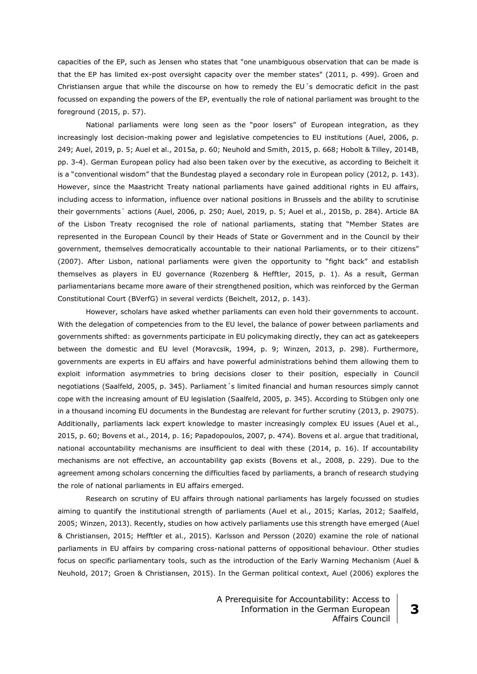capacities of the EP, such as Jensen who states that "one unambiguous observation that can be made is that the EP has limited ex-post oversight capacity over the member states" (2011, p. 499). Groen and Christiansen argue that while the discourse on how to remedy the EU´s democratic deficit in the past focussed on expanding the powers of the EP, eventually the role of national parliament was brought to the foreground (2015, p. 57).

National parliaments were long seen as the "poor losers" of European integration, as they increasingly lost decision-making power and legislative competencies to EU institutions (Auel, 2006, p. 249; Auel, 2019, p. 5; Auel et al., 2015a, p. 60; Neuhold and Smith, 2015, p. 668; Hobolt & Tilley, 2014B, pp. 3-4). German European policy had also been taken over by the executive, as according to Beichelt it is a "conventional wisdom" that the Bundestag played a secondary role in European policy (2012, p. 143). However, since the Maastricht Treaty national parliaments have gained additional rights in EU affairs, including access to information, influence over national positions in Brussels and the ability to scrutinise their governments´ actions (Auel, 2006, p. 250; Auel, 2019, p. 5; Auel et al., 2015b, p. 284). Article 8A of the Lisbon Treaty recognised the role of national parliaments, stating that "Member States are represented in the European Council by their Heads of State or Government and in the Council by their government, themselves democratically accountable to their national Parliaments, or to their citizens" (2007). After Lisbon, national parliaments were given the opportunity to "fight back" and establish themselves as players in EU governance (Rozenberg & Hefftler, 2015, p. 1). As a result, German parliamentarians became more aware of their strengthened position, which was reinforced by the German Constitutional Court (BVerfG) in several verdicts (Beichelt, 2012, p. 143).

However, scholars have asked whether parliaments can even hold their governments to account. With the delegation of competencies from to the EU level, the balance of power between parliaments and governments shifted: as governments participate in EU policymaking directly, they can act as gatekeepers between the domestic and EU level (Moravcsik, 1994, p. 9; Winzen, 2013, p. 298). Furthermore, governments are experts in EU affairs and have powerful administrations behind them allowing them to exploit information asymmetries to bring decisions closer to their position, especially in Council negotiations (Saalfeld, 2005, p. 345). Parliament´s limited financial and human resources simply cannot cope with the increasing amount of EU legislation (Saalfeld, 2005, p. 345). According to Stübgen only one in a thousand incoming EU documents in the Bundestag are relevant for further scrutiny (2013, p. 29075). Additionally, parliaments lack expert knowledge to master increasingly complex EU issues (Auel et al., 2015, p. 60; Bovens et al., 2014, p. 16; Papadopoulos, 2007, p. 474). Bovens et al. argue that traditional, national accountability mechanisms are insufficient to deal with these (2014, p. 16). If accountability mechanisms are not effective, an accountability gap exists (Bovens et al., 2008, p. 229). Due to the agreement among scholars concerning the difficulties faced by parliaments, a branch of research studying the role of national parliaments in EU affairs emerged.

Research on scrutiny of EU affairs through national parliaments has largely focussed on studies aiming to quantify the institutional strength of parliaments (Auel et al., 2015; Karlas, 2012; Saalfeld, 2005; Winzen, 2013). Recently, studies on how actively parliaments use this strength have emerged (Auel & Christiansen, 2015; Hefftler et al., 2015). Karlsson and Persson (2020) examine the role of national parliaments in EU affairs by comparing cross-national patterns of oppositional behaviour. Other studies focus on specific parliamentary tools, such as the introduction of the Early Warning Mechanism (Auel & Neuhold, 2017; Groen & Christiansen, 2015). In the German political context, Auel (2006) explores the

> A Prerequisite for Accountability: Access to Information in the German European Affairs Council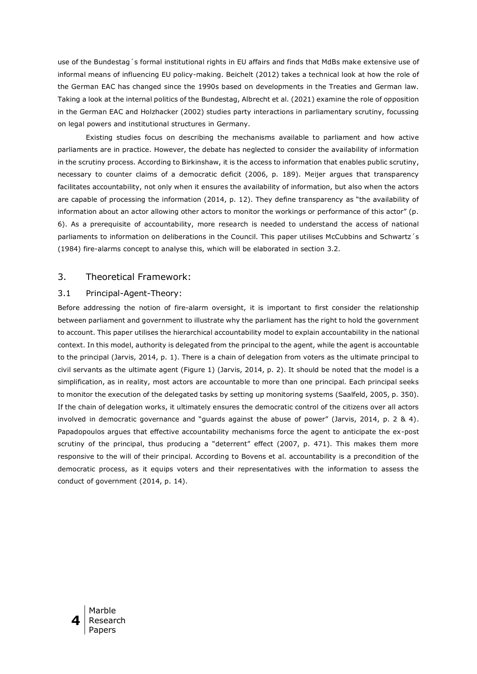use of the Bundestag´s formal institutional rights in EU affairs and finds that MdBs make extensive use of informal means of influencing EU policy-making. Beichelt (2012) takes a technical look at how the role of the German EAC has changed since the 1990s based on developments in the Treaties and German law. Taking a look at the internal politics of the Bundestag, Albrecht et al. (2021) examine the role of opposition in the German EAC and Holzhacker (2002) studies party interactions in parliamentary scrutiny, focussing on legal powers and institutional structures in Germany.

Existing studies focus on describing the mechanisms available to parliament and how active parliaments are in practice. However, the debate has neglected to consider the availability of information in the scrutiny process. According to Birkinshaw, it is the access to information that enables public scrutiny, necessary to counter claims of a democratic deficit (2006, p. 189). Meijer argues that transparency facilitates accountability, not only when it ensures the availability of information, but also when the actors are capable of processing the information (2014, p. 12). They define transparency as "the availability of information about an actor allowing other actors to monitor the workings or performance of this actor" (p. 6). As a prerequisite of accountability, more research is needed to understand the access of national parliaments to information on deliberations in the Council. This paper utilises McCubbins and Schwartz's (1984) fire-alarms concept to analyse this, which will be elaborated in section 3.2.

## 3. Theoretical Framework:

### 3.1 Principal-Agent-Theory:

Before addressing the notion of fire-alarm oversight, it is important to first consider the relationship between parliament and government to illustrate why the parliament has the right to hold the government to account. This paper utilises the hierarchical accountability model to explain accountability in the national context. In this model, authority is delegated from the principal to the agent, while the agent is accountable to the principal (Jarvis, 2014, p. 1). There is a chain of delegation from voters as the ultimate principal to civil servants as the ultimate agent (Figure 1) (Jarvis, 2014, p. 2). It should be noted that the model is a simplification, as in reality, most actors are accountable to more than one principal. Each principal seeks to monitor the execution of the delegated tasks by setting up monitoring systems (Saalfeld, 2005, p. 350). If the chain of delegation works, it ultimately ensures the democratic control of the citizens over all actors involved in democratic governance and "guards against the abuse of power" (Jarvis, 2014, p. 2 & 4). Papadopoulos argues that effective accountability mechanisms force the agent to anticipate the ex-post scrutiny of the principal, thus producing a "deterrent" effect (2007, p. 471). This makes them more responsive to the will of their principal. According to Bovens et al. accountability is a precondition of the democratic process, as it equips voters and their representatives with the information to assess the conduct of government (2014, p. 14).

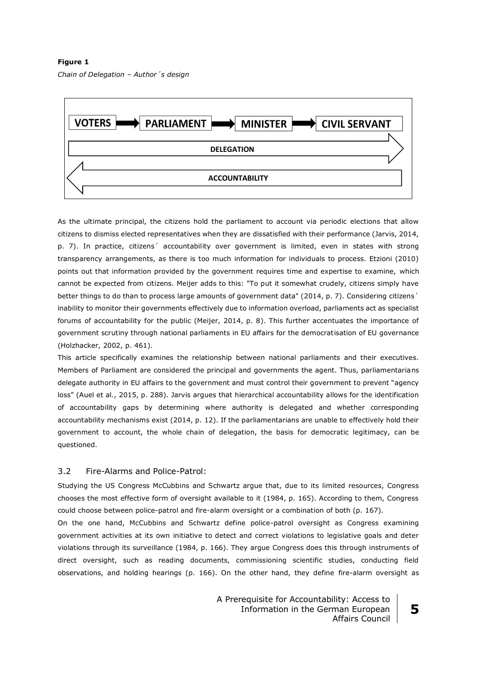**Figure 1**  *Chain of Delegation – Author´s design*



As the ultimate principal, the citizens hold the parliament to account via periodic elections that allow citizens to dismiss elected representatives when they are dissatisfied with their performance (Jarvis, 2014, p. 7). In practice, citizens´ accountability over government is limited, even in states with strong transparency arrangements, as there is too much information for individuals to process. Etzioni (2010) points out that information provided by the government requires time and expertise to examine, which cannot be expected from citizens. Meijer adds to this: "To put it somewhat crudely, citizens simply have better things to do than to process large amounts of government data" (2014, p. 7). Considering citizens' inability to monitor their governments effectively due to information overload, parliaments act as specialist forums of accountability for the public (Meijer, 2014, p. 8). This further accentuates the importance of government scrutiny through national parliaments in EU affairs for the democratisation of EU governance (Holzhacker, 2002, p. 461).

This article specifically examines the relationship between national parliaments and their executives. Members of Parliament are considered the principal and governments the agent. Thus, parliamentarians delegate authority in EU affairs to the government and must control their government to prevent "agency loss" (Auel et al., 2015, p. 288). Jarvis argues that hierarchical accountability allows for the identification of accountability gaps by determining where authority is delegated and whether corresponding accountability mechanisms exist (2014, p. 12). If the parliamentarians are unable to effectively hold their government to account, the whole chain of delegation, the basis for democratic legitimacy, can be questioned.

# 3.2 Fire-Alarms and Police-Patrol:

Studying the US Congress McCubbins and Schwartz argue that, due to its limited resources, Congress chooses the most effective form of oversight available to it (1984, p. 165). According to them, Congress could choose between police-patrol and fire-alarm oversight or a combination of both (p. 167).

On the one hand, McCubbins and Schwartz define police-patrol oversight as Congress examining government activities at its own initiative to detect and correct violations to legislative goals and deter violations through its surveillance (1984, p. 166). They argue Congress does this through instruments of direct oversight, such as reading documents, commissioning scientific studies, conducting field observations, and holding hearings (p. 166). On the other hand, they define fire-alarm oversight as

> A Prerequisite for Accountability: Access to Information in the German European Affairs Council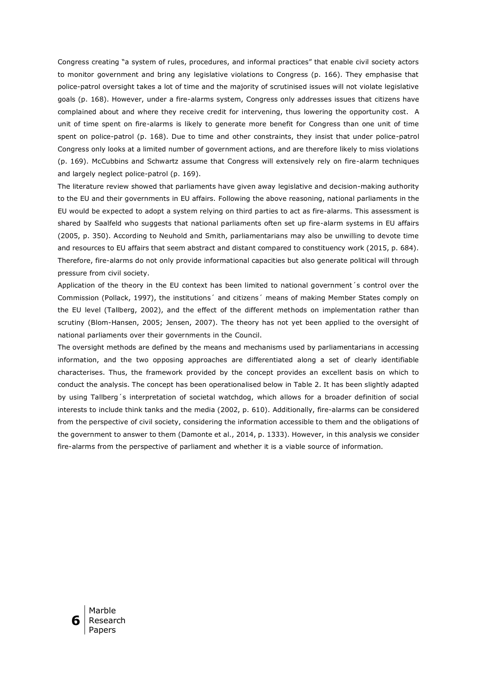Congress creating "a system of rules, procedures, and informal practices" that enable civil society actors to monitor government and bring any legislative violations to Congress (p. 166). They emphasise that police-patrol oversight takes a lot of time and the majority of scrutinised issues will not violate legislative goals (p. 168). However, under a fire-alarms system, Congress only addresses issues that citizens have complained about and where they receive credit for intervening, thus lowering the opportunity cost. A unit of time spent on fire-alarms is likely to generate more benefit for Congress than one unit of time spent on police-patrol (p. 168). Due to time and other constraints, they insist that under police-patrol Congress only looks at a limited number of government actions, and are therefore likely to miss violations (p. 169). McCubbins and Schwartz assume that Congress will extensively rely on fire-alarm techniques and largely neglect police-patrol (p. 169).

The literature review showed that parliaments have given away legislative and decision-making authority to the EU and their governments in EU affairs. Following the above reasoning, national parliaments in the EU would be expected to adopt a system relying on third parties to act as fire-alarms. This assessment is shared by Saalfeld who suggests that national parliaments often set up fire-alarm systems in EU affairs (2005, p. 350). According to Neuhold and Smith, parliamentarians may also be unwilling to devote time and resources to EU affairs that seem abstract and distant compared to constituency work (2015, p. 684). Therefore, fire-alarms do not only provide informational capacities but also generate political will through pressure from civil society.

Application of the theory in the EU context has been limited to national government´s control over the Commission (Pollack, 1997), the institutions´ and citizens´ means of making Member States comply on the EU level (Tallberg, 2002), and the effect of the different methods on implementation rather than scrutiny (Blom-Hansen, 2005; Jensen, 2007). The theory has not yet been applied to the oversight of national parliaments over their governments in the Council.

The oversight methods are defined by the means and mechanisms used by parliamentarians in accessing information, and the two opposing approaches are differentiated along a set of clearly identifiable characterises. Thus, the framework provided by the concept provides an excellent basis on which to conduct the analysis. The concept has been operationalised below in Table 2. It has been slightly adapted by using Tallberg´s interpretation of societal watchdog, which allows for a broader definition of social interests to include think tanks and the media (2002, p. 610). Additionally, fire-alarms can be considered from the perspective of civil society, considering the information accessible to them and the obligations of the government to answer to them (Damonte et al., 2014, p. 1333). However, in this analysis we consider fire-alarms from the perspective of parliament and whether it is a viable source of information.

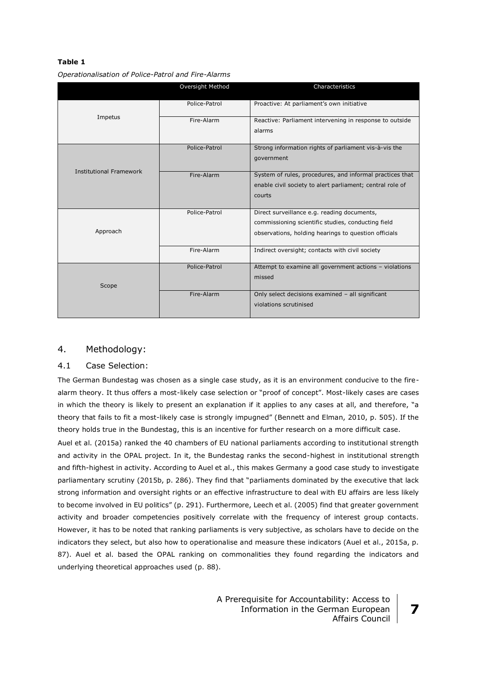# **Table 1**

|                                | Oversight Method | Characteristics                                                                                                                                           |  |
|--------------------------------|------------------|-----------------------------------------------------------------------------------------------------------------------------------------------------------|--|
|                                | Police-Patrol    | Proactive: At parliament's own initiative                                                                                                                 |  |
| Impetus                        | Fire-Alarm       | Reactive: Parliament intervening in response to outside<br>alarms                                                                                         |  |
|                                | Police-Patrol    | Strong information rights of parliament vis-à-vis the<br>government                                                                                       |  |
| <b>Institutional Framework</b> | Fire-Alarm       | System of rules, procedures, and informal practices that<br>enable civil society to alert parliament; central role of<br>courts                           |  |
| Approach                       | Police-Patrol    | Direct surveillance e.g. reading documents,<br>commissioning scientific studies, conducting field<br>observations, holding hearings to question officials |  |
|                                | Fire-Alarm       | Indirect oversight; contacts with civil society                                                                                                           |  |
| Scope                          | Police-Patrol    | Attempt to examine all government actions - violations<br>missed                                                                                          |  |
|                                | Fire-Alarm       | Only select decisions examined - all significant<br>violations scrutinised                                                                                |  |

*Operationalisation of Police-Patrol and Fire-Alarms*

# 4. Methodology:

### 4.1 Case Selection:

The German Bundestag was chosen as a single case study, as it is an environment conducive to the firealarm theory. It thus offers a most-likely case selection or "proof of concept". Most-likely cases are cases in which the theory is likely to present an explanation if it applies to any cases at all, and therefore, "a theory that fails to fit a most-likely case is strongly impugned" (Bennett and Elman, 2010, p. 505). If the theory holds true in the Bundestag, this is an incentive for further research on a more difficult case.

Auel et al. (2015a) ranked the 40 chambers of EU national parliaments according to institutional strength and activity in the OPAL project. In it, the Bundestag ranks the second-highest in institutional strength and fifth-highest in activity. According to Auel et al., this makes Germany a good case study to investigate parliamentary scrutiny (2015b, p. 286). They find that "parliaments dominated by the executive that lack strong information and oversight rights or an effective infrastructure to deal with EU affairs are less likely to become involved in EU politics" (p. 291). Furthermore, Leech et al. (2005) find that greater government activity and broader competencies positively correlate with the frequency of interest group contacts. However, it has to be noted that ranking parliaments is very subjective, as scholars have to decide on the indicators they select, but also how to operationalise and measure these indicators (Auel et al., 2015a, p. 87). Auel et al. based the OPAL ranking on commonalities they found regarding the indicators and underlying theoretical approaches used (p. 88).

> A Prerequisite for Accountability: Access to Information in the German European Affairs Council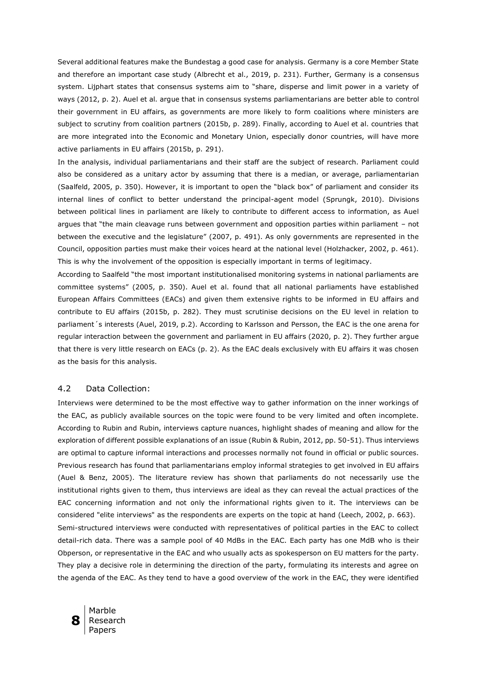Several additional features make the Bundestag a good case for analysis. Germany is a core Member State and therefore an important case study (Albrecht et al., 2019, p. 231). Further, Germany is a consensus system. Lijphart states that consensus systems aim to "share, disperse and limit power in a variety of ways (2012, p. 2). Auel et al. argue that in consensus systems parliamentarians are better able to control their government in EU affairs, as governments are more likely to form coalitions where ministers are subject to scrutiny from coalition partners (2015b, p. 289). Finally, according to Auel et al. countries that are more integrated into the Economic and Monetary Union, especially donor countries, will have more active parliaments in EU affairs (2015b, p. 291).

In the analysis, individual parliamentarians and their staff are the subject of research. Parliament could also be considered as a unitary actor by assuming that there is a median, or average, parliamentarian (Saalfeld, 2005, p. 350). However, it is important to open the "black box" of parliament and consider its internal lines of conflict to better understand the principal-agent model (Sprungk, 2010). Divisions between political lines in parliament are likely to contribute to different access to information, as Auel argues that "the main cleavage runs between government and opposition parties within parliament – not between the executive and the legislature" (2007, p. 491). As only governments are represented in the Council, opposition parties must make their voices heard at the national level (Holzhacker, 2002, p. 461). This is why the involvement of the opposition is especially important in terms of legitimacy.

According to Saalfeld "the most important institutionalised monitoring systems in national parliaments are committee systems" (2005, p. 350). Auel et al. found that all national parliaments have established European Affairs Committees (EACs) and given them extensive rights to be informed in EU affairs and contribute to EU affairs (2015b, p. 282). They must scrutinise decisions on the EU level in relation to parliament´s interests (Auel, 2019, p.2). According to Karlsson and Persson, the EAC is the one arena for regular interaction between the government and parliament in EU affairs (2020, p. 2). They further argue that there is very little research on EACs (p. 2). As the EAC deals exclusively with EU affairs it was chosen as the basis for this analysis.

#### 4.2 Data Collection:

Interviews were determined to be the most effective way to gather information on the inner workings of the EAC, as publicly available sources on the topic were found to be very limited and often incomplete. According to Rubin and Rubin, interviews capture nuances, highlight shades of meaning and allow for the exploration of different possible explanations of an issue (Rubin & Rubin, 2012, pp. 50-51). Thus interviews are optimal to capture informal interactions and processes normally not found in official or public sources. Previous research has found that parliamentarians employ informal strategies to get involved in EU affairs (Auel & Benz, 2005). The literature review has shown that parliaments do not necessarily use the institutional rights given to them, thus interviews are ideal as they can reveal the actual practices of the EAC concerning information and not only the informational rights given to it. The interviews can be considered "elite interviews" as the respondents are experts on the topic at hand (Leech, 2002, p. 663). Semi-structured interviews were conducted with representatives of political parties in the EAC to collect detail-rich data. There was a sample pool of 40 MdBs in the EAC. Each party has one MdB who is their Obperson, or representative in the EAC and who usually acts as spokesperson on EU matters for the party. They play a decisive role in determining the direction of the party, formulating its interests and agree on the agenda of the EAC. As they tend to have a good overview of the work in the EAC, they were identified

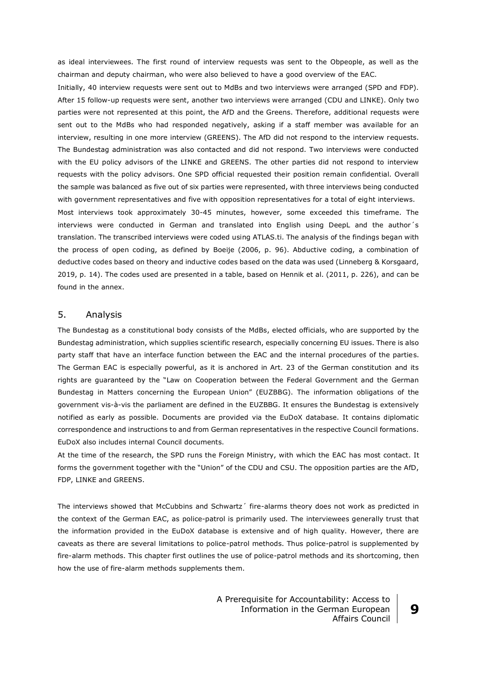as ideal interviewees. The first round of interview requests was sent to the Obpeople, as well as the chairman and deputy chairman, who were also believed to have a good overview of the EAC.

Initially, 40 interview requests were sent out to MdBs and two interviews were arranged (SPD and FDP). After 15 follow-up requests were sent, another two interviews were arranged (CDU and LINKE). Only two parties were not represented at this point, the AfD and the Greens. Therefore, additional requests were sent out to the MdBs who had responded negatively, asking if a staff member was available for an interview, resulting in one more interview (GREENS). The AfD did not respond to the interview requests. The Bundestag administration was also contacted and did not respond. Two interviews were conducted with the EU policy advisors of the LINKE and GREENS. The other parties did not respond to interview requests with the policy advisors. One SPD official requested their position remain confidential. Overall the sample was balanced as five out of six parties were represented, with three interviews being conducted with government representatives and five with opposition representatives for a total of eight interviews. Most interviews took approximately 30-45 minutes, however, some exceeded this timeframe. The interviews were conducted in German and translated into English using DeepL and the author´s translation. The transcribed interviews were coded using ATLAS.ti. The analysis of the findings began with the process of open coding, as defined by Boeije (2006, p. 96). Abductive coding, a combination of deductive codes based on theory and inductive codes based on the data was used (Linneberg & Korsgaard, 2019, p. 14). The codes used are presented in a table, based on Hennik et al. (2011, p. 226), and can be found in the annex.

## 5. Analysis

The Bundestag as a constitutional body consists of the MdBs, elected officials, who are supported by the Bundestag administration, which supplies scientific research, especially concerning EU issues. There is also party staff that have an interface function between the EAC and the internal procedures of the parties. The German EAC is especially powerful, as it is anchored in Art. 23 of the German constitution and its rights are guaranteed by the "Law on Cooperation between the Federal Government and the German Bundestag in Matters concerning the European Union" (EUZBBG). The information obligations of the government vis-à-vis the parliament are defined in the EUZBBG. It ensures the Bundestag is extensively notified as early as possible. Documents are provided via the EuDoX database. It contains diplomatic correspondence and instructions to and from German representatives in the respective Council formations. EuDoX also includes internal Council documents.

At the time of the research, the SPD runs the Foreign Ministry, with which the EAC has most contact. It forms the government together with the "Union" of the CDU and CSU. The opposition parties are the AfD, FDP, LINKE and GREENS.

The interviews showed that McCubbins and Schwartz´ fire-alarms theory does not work as predicted in the context of the German EAC, as police-patrol is primarily used. The interviewees generally trust that the information provided in the EuDoX database is extensive and of high quality. However, there are caveats as there are several limitations to police-patrol methods. Thus police-patrol is supplemented by fire-alarm methods. This chapter first outlines the use of police-patrol methods and its shortcoming, then how the use of fire-alarm methods supplements them.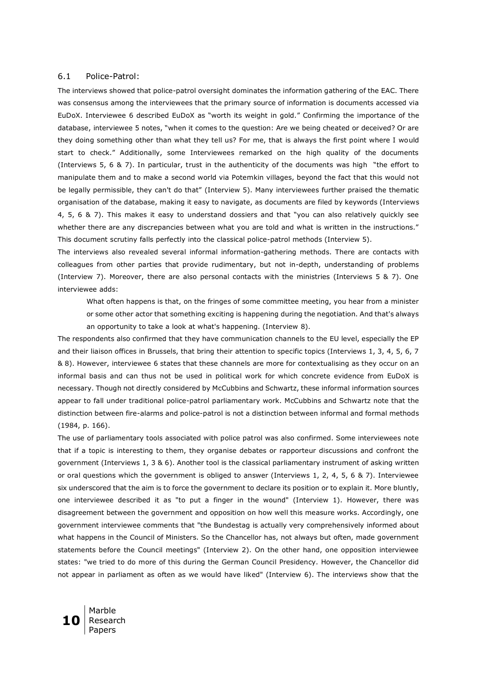#### 6.1 Police-Patrol:

The interviews showed that police-patrol oversight dominates the information gathering of the EAC. There was consensus among the interviewees that the primary source of information is documents accessed via EuDoX. Interviewee 6 described EuDoX as "worth its weight in gold." Confirming the importance of the database, interviewee 5 notes, "when it comes to the question: Are we being cheated or deceived? Or are they doing something other than what they tell us? For me, that is always the first point where I would start to check." Additionally, some Interviewees remarked on the high quality of the documents (Interviews 5, 6 & 7). In particular, trust in the authenticity of the documents was high "the effort to manipulate them and to make a second world via Potemkin villages, beyond the fact that this would not be legally permissible, they can't do that" (Interview 5). Many interviewees further praised the thematic organisation of the database, making it easy to navigate, as documents are filed by keywords (Interviews 4, 5, 6 & 7). This makes it easy to understand dossiers and that "you can also relatively quickly see whether there are any discrepancies between what you are told and what is written in the instructions." This document scrutiny falls perfectly into the classical police-patrol methods (Interview 5).

The interviews also revealed several informal information-gathering methods. There are contacts with colleagues from other parties that provide rudimentary, but not in-depth, understanding of problems (Interview 7). Moreover, there are also personal contacts with the ministries (Interviews 5 & 7). One interviewee adds:

What often happens is that, on the fringes of some committee meeting, you hear from a minister or some other actor that something exciting is happening during the negotiation. And that's always an opportunity to take a look at what's happening. (Interview 8).

The respondents also confirmed that they have communication channels to the EU level, especially the EP and their liaison offices in Brussels, that bring their attention to specific topics (Interviews 1, 3, 4, 5, 6, 7 & 8). However, interviewee 6 states that these channels are more for contextualising as they occur on an informal basis and can thus not be used in political work for which concrete evidence from EuDoX is necessary. Though not directly considered by McCubbins and Schwartz, these informal information sources appear to fall under traditional police-patrol parliamentary work. McCubbins and Schwartz note that the distinction between fire-alarms and police-patrol is not a distinction between informal and formal methods (1984, p. 166).

The use of parliamentary tools associated with police patrol was also confirmed. Some interviewees note that if a topic is interesting to them, they organise debates or rapporteur discussions and confront the government (Interviews 1, 3 & 6). Another tool is the classical parliamentary instrument of asking written or oral questions which the government is obliged to answer (Interviews 1, 2, 4, 5, 6 & 7). Interviewee six underscored that the aim is to force the government to declare its position or to explain it. More bluntly, one interviewee described it as "to put a finger in the wound" (Interview 1). However, there was disagreement between the government and opposition on how well this measure works. Accordingly, one government interviewee comments that "the Bundestag is actually very comprehensively informed about what happens in the Council of Ministers. So the Chancellor has, not always but often, made government statements before the Council meetings" (Interview 2). On the other hand, one opposition interviewee states: "we tried to do more of this during the German Council Presidency. However, the Chancellor did not appear in parliament as often as we would have liked" (Interview 6). The interviews show that the

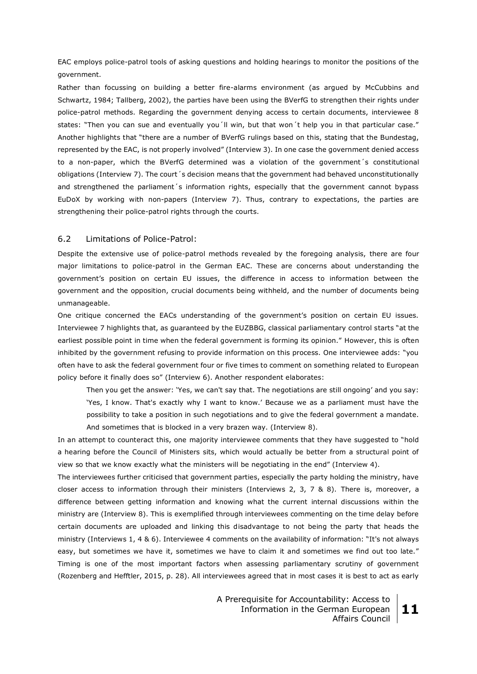EAC employs police-patrol tools of asking questions and holding hearings to monitor the positions of the government.

Rather than focussing on building a better fire-alarms environment (as argued by McCubbins and Schwartz, 1984; Tallberg, 2002), the parties have been using the BVerfG to strengthen their rights under police-patrol methods. Regarding the government denying access to certain documents, interviewee 8 states: "Then you can sue and eventually you´ll win, but that won´t help you in that particular case." Another highlights that "there are a number of BVerfG rulings based on this, stating that the Bundestag, represented by the EAC, is not properly involved" (Interview 3). In one case the government denied access to a non-paper, which the BVerfG determined was a violation of the government´s constitutional obligations (Interview 7). The court´s decision means that the government had behaved unconstitutionally and strengthened the parliament's information rights, especially that the government cannot bypass EuDoX by working with non-papers (Interview 7). Thus, contrary to expectations, the parties are strengthening their police-patrol rights through the courts.

#### 6.2 Limitations of Police-Patrol:

Despite the extensive use of police-patrol methods revealed by the foregoing analysis, there are four major limitations to police-patrol in the German EAC. These are concerns about understanding the government's position on certain EU issues, the difference in access to information between the government and the opposition, crucial documents being withheld, and the number of documents being unmanageable.

One critique concerned the EACs understanding of the government's position on certain EU issues. Interviewee 7 highlights that, as guaranteed by the EUZBBG, classical parliamentary control starts "at the earliest possible point in time when the federal government is forming its opinion." However, this is often inhibited by the government refusing to provide information on this process. One interviewee adds: "you often have to ask the federal government four or five times to comment on something related to European policy before it finally does so" (Interview 6). Another respondent elaborates:

Then you get the answer: 'Yes, we can't say that. The negotiations are still ongoing' and you say: 'Yes, I know. That's exactly why I want to know.' Because we as a parliament must have the possibility to take a position in such negotiations and to give the federal government a mandate. And sometimes that is blocked in a very brazen way. (Interview 8).

In an attempt to counteract this, one majority interviewee comments that they have suggested to "hold a hearing before the Council of Ministers sits, which would actually be better from a structural point of view so that we know exactly what the ministers will be negotiating in the end" (Interview 4).

The interviewees further criticised that government parties, especially the party holding the ministry, have closer access to information through their ministers (Interviews 2, 3, 7 & 8). There is, moreover, a difference between getting information and knowing what the current internal discussions within the ministry are (Interview 8). This is exemplified through interviewees commenting on the time delay before certain documents are uploaded and linking this disadvantage to not being the party that heads the ministry (Interviews 1, 4 & 6). Interviewee 4 comments on the availability of information: "It's not always easy, but sometimes we have it, sometimes we have to claim it and sometimes we find out too late." Timing is one of the most important factors when assessing parliamentary scrutiny of government (Rozenberg and Hefftler, 2015, p. 28). All interviewees agreed that in most cases it is best to act as early

> A Prerequisite for Accountability: Access to Information in the German European Affairs Council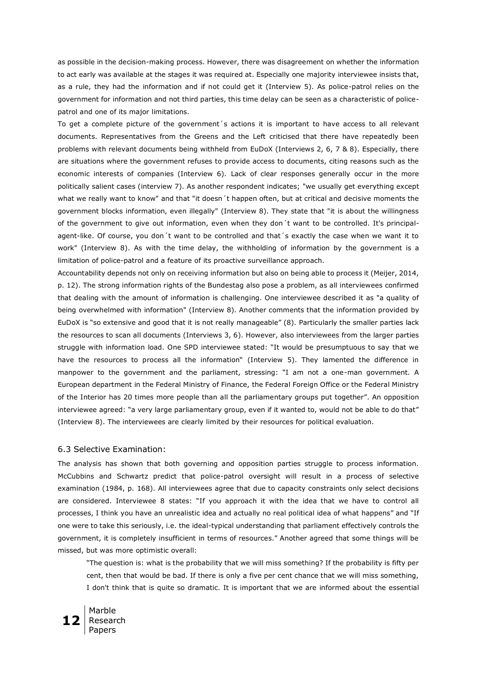as possible in the decision-making process. However, there was disagreement on whether the information to act early was available at the stages it was required at. Especially one majority interviewee insists that, as a rule, they had the information and if not could get it (Interview 5). As police-patrol relies on the government for information and not third parties, this time delay can be seen as a characteristic of policepatrol and one of its major limitations.

To get a complete picture of the government´s actions it is important to have access to all relevant documents. Representatives from the Greens and the Left criticised that there have repeatedly been problems with relevant documents being withheld from EuDoX (Interviews 2, 6, 7 & 8). Especially, there are situations where the government refuses to provide access to documents, citing reasons such as the economic interests of companies (Interview 6). Lack of clear responses generally occur in the more politically salient cases (interview 7). As another respondent indicates; "we usually get everything except what we really want to know" and that "it doesn't happen often, but at critical and decisive moments the government blocks information, even illegally" (Interview 8). They state that "it is about the willingness of the government to give out information, even when they don´t want to be controlled. It's principalagent-like. Of course, you don´t want to be controlled and that´s exactly the case when we want it to work" (Interview 8). As with the time delay, the withholding of information by the government is a limitation of police-patrol and a feature of its proactive surveillance approach.

Accountability depends not only on receiving information but also on being able to process it (Meijer, 2014, p. 12). The strong information rights of the Bundestag also pose a problem, as all interviewees confirmed that dealing with the amount of information is challenging. One interviewee described it as "a quality of being overwhelmed with information" (Interview 8). Another comments that the information provided by EuDoX is "so extensive and good that it is not really manageable" (8). Particularly the smaller parties lack the resources to scan all documents (Interviews 3, 6). However, also interviewees from the larger parties struggle with information load. One SPD interviewee stated: "It would be presumptuous to say that we have the resources to process all the information" (Interview 5). They lamented the difference in manpower to the government and the parliament, stressing: "I am not a one-man government. A European department in the Federal Ministry of Finance, the Federal Foreign Office or the Federal Ministry of the Interior has 20 times more people than all the parliamentary groups put together". An opposition interviewee agreed: "a very large parliamentary group, even if it wanted to, would not be able to do that" (Interview 8). The interviewees are clearly limited by their resources for political evaluation.

#### 6.3 Selective Examination:

The analysis has shown that both governing and opposition parties struggle to process information. McCubbins and Schwartz predict that police-patrol oversight will result in a process of selective examination (1984, p. 168). All interviewees agree that due to capacity constraints only select decisions are considered. Interviewee 8 states: "If you approach it with the idea that we have to control all processes, I think you have an unrealistic idea and actually no real political idea of what happens" and "If one were to take this seriously, i.e. the ideal-typical understanding that parliament effectively controls the government, it is completely insufficient in terms of resources." Another agreed that some things will be missed, but was more optimistic overall:

"The question is: what is the probability that we will miss something? If the probability is fifty per cent, then that would be bad. If there is only a five per cent chance that we will miss something, I don't think that is quite so dramatic. It is important that we are informed about the essential

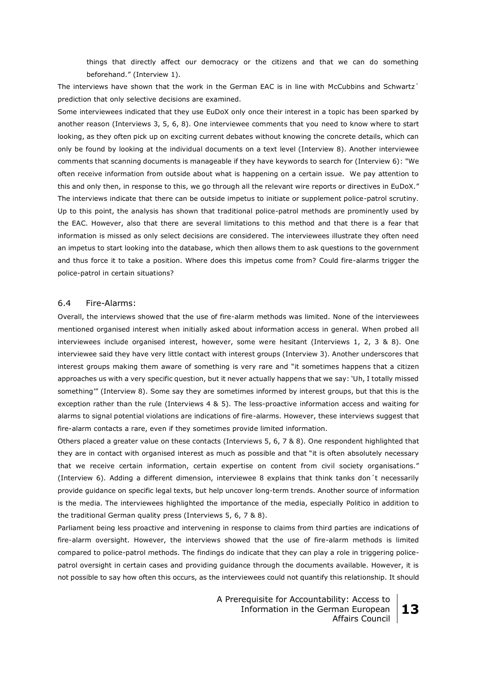things that directly affect our democracy or the citizens and that we can do something beforehand." (Interview 1).

The interviews have shown that the work in the German EAC is in line with McCubbins and Schwartz' prediction that only selective decisions are examined.

Some interviewees indicated that they use EuDoX only once their interest in a topic has been sparked by another reason (Interviews 3, 5, 6, 8). One interviewee comments that you need to know where to start looking, as they often pick up on exciting current debates without knowing the concrete details, which can only be found by looking at the individual documents on a text level (Interview 8). Another interviewee comments that scanning documents is manageable if they have keywords to search for (Interview 6): "We often receive information from outside about what is happening on a certain issue. We pay attention to this and only then, in response to this, we go through all the relevant wire reports or directives in EuDoX." The interviews indicate that there can be outside impetus to initiate or supplement police-patrol scrutiny. Up to this point, the analysis has shown that traditional police-patrol methods are prominently used by the EAC. However, also that there are several limitations to this method and that there is a fear that information is missed as only select decisions are considered. The interviewees illustrate they often need an impetus to start looking into the database, which then allows them to ask questions to the government and thus force it to take a position. Where does this impetus come from? Could fire-alarms trigger the police-patrol in certain situations?

#### 6.4 Fire-Alarms:

Overall, the interviews showed that the use of fire-alarm methods was limited. None of the interviewees mentioned organised interest when initially asked about information access in general. When probed all interviewees include organised interest, however, some were hesitant (Interviews 1, 2, 3 & 8). One interviewee said they have very little contact with interest groups (Interview 3). Another underscores that interest groups making them aware of something is very rare and "it sometimes happens that a citizen approaches us with a very specific question, but it never actually happens that we say: 'Uh, I totally missed something'" (Interview 8). Some say they are sometimes informed by interest groups, but that this is the exception rather than the rule (Interviews 4 & 5). The less-proactive information access and waiting for alarms to signal potential violations are indications of fire-alarms. However, these interviews suggest that fire-alarm contacts a rare, even if they sometimes provide limited information.

Others placed a greater value on these contacts (Interviews 5, 6, 7 & 8). One respondent highlighted that they are in contact with organised interest as much as possible and that "it is often absolutely necessary that we receive certain information, certain expertise on content from civil society organisations." (Interview 6). Adding a different dimension, interviewee 8 explains that think tanks don´t necessarily provide guidance on specific legal texts, but help uncover long-term trends. Another source of information is the media. The interviewees highlighted the importance of the media, especially Politico in addition to the traditional German quality press (Interviews 5, 6, 7 & 8).

Parliament being less proactive and intervening in response to claims from third parties are indications of fire-alarm oversight. However, the interviews showed that the use of fire-alarm methods is limited compared to police-patrol methods. The findings do indicate that they can play a role in triggering policepatrol oversight in certain cases and providing guidance through the documents available. However, it is not possible to say how often this occurs, as the interviewees could not quantify this relationship. It should

> A Prerequisite for Accountability: Access to Information in the German European Affairs Council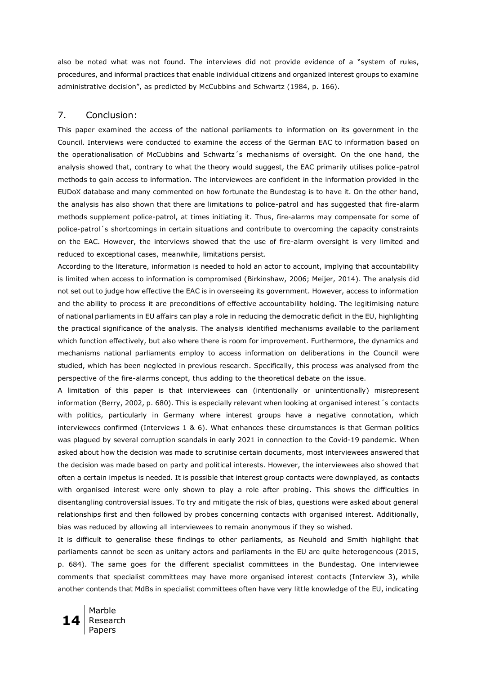also be noted what was not found. The interviews did not provide evidence of a "system of rules, procedures, and informal practices that enable individual citizens and organized interest groups to examine administrative decision", as predicted by McCubbins and Schwartz (1984, p. 166).

# 7. Conclusion:

This paper examined the access of the national parliaments to information on its government in the Council. Interviews were conducted to examine the access of the German EAC to information based on the operationalisation of McCubbins and Schwartz´s mechanisms of oversight. On the one hand, the analysis showed that, contrary to what the theory would suggest, the EAC primarily utilises police-patrol methods to gain access to information. The interviewees are confident in the information provided in the EUDoX database and many commented on how fortunate the Bundestag is to have it. On the other hand, the analysis has also shown that there are limitations to police-patrol and has suggested that fire-alarm methods supplement police-patrol, at times initiating it. Thus, fire-alarms may compensate for some of police-patrol´s shortcomings in certain situations and contribute to overcoming the capacity constraints on the EAC. However, the interviews showed that the use of fire-alarm oversight is very limited and reduced to exceptional cases, meanwhile, limitations persist.

According to the literature, information is needed to hold an actor to account, implying that accountability is limited when access to information is compromised (Birkinshaw, 2006; Meijer, 2014). The analysis did not set out to judge how effective the EAC is in overseeing its government. However, access to information and the ability to process it are preconditions of effective accountability holding. The legitimising nature of national parliaments in EU affairs can play a role in reducing the democratic deficit in the EU, highlighting the practical significance of the analysis. The analysis identified mechanisms available to the parliament which function effectively, but also where there is room for improvement. Furthermore, the dynamics and mechanisms national parliaments employ to access information on deliberations in the Council were studied, which has been neglected in previous research. Specifically, this process was analysed from the perspective of the fire-alarms concept, thus adding to the theoretical debate on the issue.

A limitation of this paper is that interviewees can (intentionally or unintentionally) misrepresent information (Berry, 2002, p. 680). This is especially relevant when looking at organised interest´s contacts with politics, particularly in Germany where interest groups have a negative connotation, which interviewees confirmed (Interviews 1 & 6). What enhances these circumstances is that German politics was plagued by several corruption scandals in early 2021 in connection to the Covid-19 pandemic. When asked about how the decision was made to scrutinise certain documents, most interviewees answered that the decision was made based on party and political interests. However, the interviewees also showed that often a certain impetus is needed. It is possible that interest group contacts were downplayed, as contacts with organised interest were only shown to play a role after probing. This shows the difficulties in disentangling controversial issues. To try and mitigate the risk of bias, questions were asked about general relationships first and then followed by probes concerning contacts with organised interest. Additionally, bias was reduced by allowing all interviewees to remain anonymous if they so wished.

It is difficult to generalise these findings to other parliaments, as Neuhold and Smith highlight that parliaments cannot be seen as unitary actors and parliaments in the EU are quite heterogeneous (2015, p. 684). The same goes for the different specialist committees in the Bundestag. One interviewee comments that specialist committees may have more organised interest contacts (Interview 3), while another contends that MdBs in specialist committees often have very little knowledge of the EU, indicating

**14** Marble Research Papers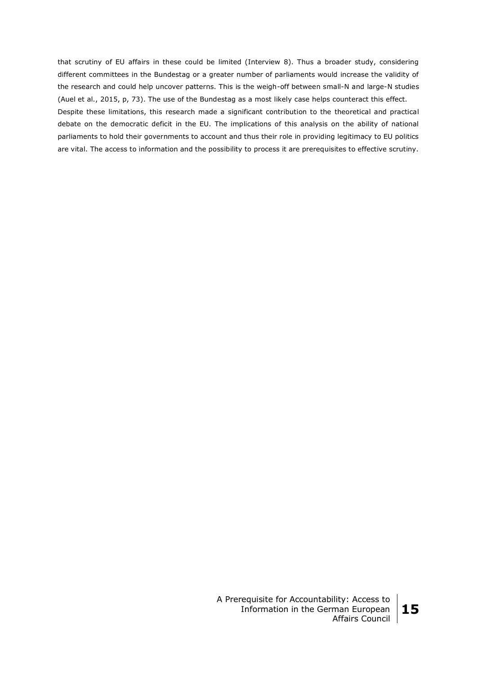that scrutiny of EU affairs in these could be limited (Interview 8). Thus a broader study, considering different committees in the Bundestag or a greater number of parliaments would increase the validity of the research and could help uncover patterns. This is the weigh-off between small-N and large-N studies (Auel et al., 2015, p, 73). The use of the Bundestag as a most likely case helps counteract this effect. Despite these limitations, this research made a significant contribution to the theoretical and practical debate on the democratic deficit in the EU. The implications of this analysis on the ability of national parliaments to hold their governments to account and thus their role in providing legitimacy to EU politics are vital. The access to information and the possibility to process it are prerequisites to effective scrutiny.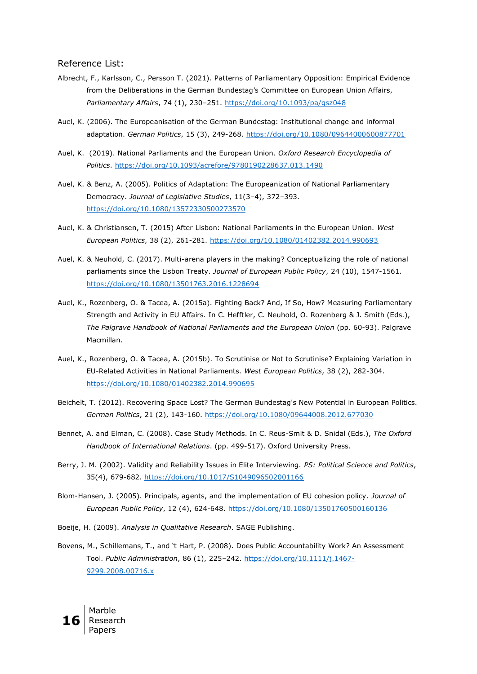#### Reference List:

- Albrecht, F., Karlsson, C., Persson T. (2021). Patterns of Parliamentary Opposition: Empirical Evidence from the Deliberations in the German Bundestag's Committee on European Union Affairs, *Parliamentary Affairs*, 74 (1), 230–251.<https://doi.org/10.1093/pa/gsz048>
- Auel, K. (2006). The Europeanisation of the German Bundestag: Institutional change and informal adaptation. *German Politics*, 15 (3), 249-268.<https://doi.org/10.1080/09644000600877701>
- Auel, K. (2019). National Parliaments and the European Union. *Oxford Research Encyclopedia of Politics*.<https://doi.org/10.1093/acrefore/9780190228637.013.1490>
- Auel, K. & Benz, A. (2005). Politics of Adaptation: The Europeanization of National Parliamentary Democracy. *Journal of Legislative Studies*, 11(3–4), 372–393. <https://doi.org/10.1080/13572330500273570>
- Auel, K. & Christiansen, T. (2015) After Lisbon: National Parliaments in the European Union. *West European Politics*, 38 (2), 261-281.<https://doi.org/10.1080/01402382.2014.990693>
- Auel, K. & Neuhold, C. (2017). Multi-arena players in the making? Conceptualizing the role of national parliaments since the Lisbon Treaty. *Journal of European Public Policy*, 24 (10), 1547-1561. <https://doi.org/10.1080/13501763.2016.1228694>
- Auel, K., Rozenberg, O. & Tacea, A. (2015a). Fighting Back? And, If So, How? Measuring Parliamentary Strength and Activity in EU Affairs. In C. Hefftler, C. Neuhold, O. Rozenberg & J. Smith (Eds.), *The Palgrave Handbook of National Parliaments and the European Union* (pp. 60-93). Palgrave Macmillan.
- Auel, K., Rozenberg, O. & Tacea, A. (2015b). To Scrutinise or Not to Scrutinise? Explaining Variation in EU-Related Activities in National Parliaments. *West European Politics*, 38 (2), 282-304. <https://doi.org/10.1080/01402382.2014.990695>
- Beichelt, T. (2012). Recovering Space Lost? The German Bundestag's New Potential in European Politics. *German Politics*, 21 (2), 143-160.<https://doi.org/10.1080/09644008.2012.677030>
- Bennet, A. and Elman, C. (2008). Case Study Methods. In C. Reus-Smit & D. Snidal (Eds.), *The Oxford Handbook of International Relations*. (pp. 499-517). Oxford University Press.
- Berry, J. M. (2002). Validity and Reliability Issues in Elite Interviewing. *PS: Political Science and Politics*, 35(4), 679-682. <https://doi.org/10.1017/S1049096502001166>
- Blom-Hansen, J. (2005). Principals, agents, and the implementation of EU cohesion policy. *Journal of European Public Policy*, 12 (4), 624-648.<https://doi.org/10.1080/13501760500160136>
- Boeije, H. (2009). *Analysis in Qualitative Research*. SAGE Publishing.
- Bovens, M., Schillemans, T., and 't Hart, P. (2008). Does Public Accountability Work? An Assessment Tool. *Public Administration*, 86 (1), 225–242. [https://doi.org/10.1111/j.1467-](https://doi.org/10.1111/j.1467-9299.2008.00716.x) [9299.2008.00716.x](https://doi.org/10.1111/j.1467-9299.2008.00716.x)

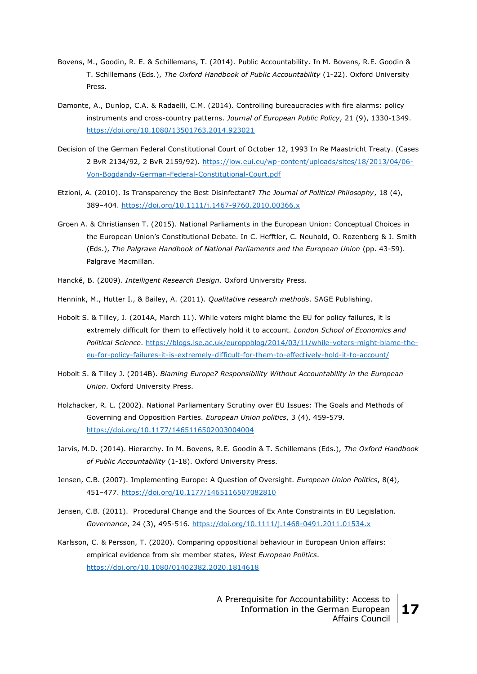- Bovens, M., Goodin, R. E. & Schillemans, T. (2014). Public Accountability. In M. Bovens, R.E. Goodin & T. Schillemans (Eds.), *The Oxford Handbook of Public Accountability* (1-22). Oxford University Press.
- Damonte, A., Dunlop, C.A. & Radaelli, C.M. (2014). Controlling bureaucracies with fire alarms: policy instruments and cross-country patterns. *Journal of European Public Policy*, 21 (9), 1330-1349. <https://doi.org/10.1080/13501763.2014.923021>
- Decision of the German Federal Constitutional Court of October 12, 1993 In Re Maastricht Treaty. (Cases 2 BvR 2134/92, 2 BvR 2159/92). [https://iow.eui.eu/wp-content/uploads/sites/18/2013/04/06-](https://iow.eui.eu/wp-content/uploads/sites/18/2013/04/06-Von-Bogdandy-German-Federal-Constitutional-Court.pdf) [Von-Bogdandy-German-Federal-Constitutional-Court.pdf](https://iow.eui.eu/wp-content/uploads/sites/18/2013/04/06-Von-Bogdandy-German-Federal-Constitutional-Court.pdf)
- Etzioni, A. (2010). Is Transparency the Best Disinfectant? *The Journal of Political Philosophy*, 18 (4), 389–404.<https://doi.org/10.1111/j.1467-9760.2010.00366.x>
- Groen A. & Christiansen T. (2015). National Parliaments in the European Union: Conceptual Choices in the European Union's Constitutional Debate. In C. Hefftler, C. Neuhold, O. Rozenberg & J. Smith (Eds.), *The Palgrave Handbook of National Parliaments and the European Union* (pp. 43-59). Palgrave Macmillan.
- Hancké, B. (2009). *Intelligent Research Design*. Oxford University Press.
- Hennink, M., Hutter I., & Bailey, A. (2011). *Qualitative research methods*. SAGE Publishing.
- Hobolt S. & Tilley, J. (2014A, March 11). While voters might blame the EU for policy failures, it is extremely difficult for them to effectively hold it to account. *London School of Economics and Political Science*. [https://blogs.lse.ac.uk/europpblog/2014/03/11/while-voters-might-blame-the](https://blogs.lse.ac.uk/europpblog/2014/03/11/while-voters-might-blame-the-eu-for-policy-failures-it-is-extremely-difficult-for-them-to-effectively-hold-it-to-account/)[eu-for-policy-failures-it-is-extremely-difficult-for-them-to-effectively-hold-it-to-account/](https://blogs.lse.ac.uk/europpblog/2014/03/11/while-voters-might-blame-the-eu-for-policy-failures-it-is-extremely-difficult-for-them-to-effectively-hold-it-to-account/)
- Hobolt S. & Tilley J. (2014B). *Blaming Europe? Responsibility Without Accountability in the European Union*. Oxford University Press.
- Holzhacker, R. L. (2002). National Parliamentary Scrutiny over EU Issues: The Goals and Methods of Governing and Opposition Parties. *European Union politics*, 3 (4), 459-579. <https://doi.org/10.1177/1465116502003004004>
- Jarvis, M.D. (2014). Hierarchy. In M. Bovens, R.E. Goodin & T. Schillemans (Eds.), *The Oxford Handbook of Public Accountability* (1-18). Oxford University Press.
- Jensen, C.B. (2007). Implementing Europe: A Question of Oversight. *European Union Politics*, 8(4), 451–477.<https://doi.org/10.1177/1465116507082810>
- Jensen, C.B. (2011). Procedural Change and the Sources of Ex Ante Constraints in EU Legislation. *Governance*, 24 (3), 495-516.<https://doi.org/10.1111/j.1468-0491.2011.01534.x>
- Karlsson, C. & Persson, T. (2020). Comparing oppositional behaviour in European Union affairs: empirical evidence from six member states, *West European Politics*. <https://doi.org/10.1080/01402382.2020.1814618>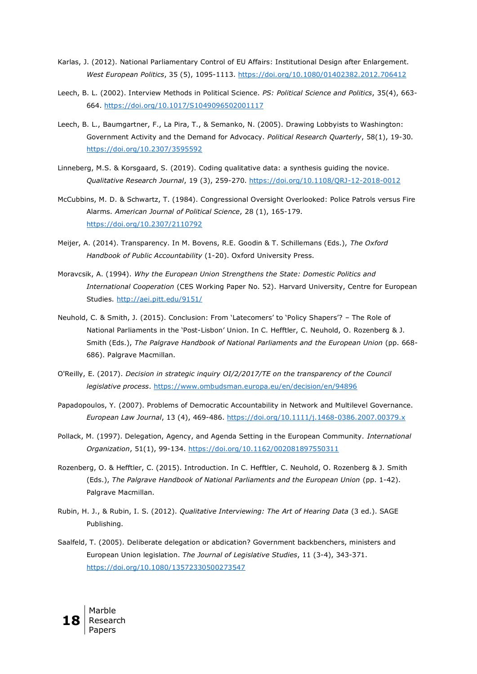- Karlas, J. (2012). National Parliamentary Control of EU Affairs: Institutional Design after Enlargement. *West European Politics*, 35 (5), 1095-1113.<https://doi.org/10.1080/01402382.2012.706412>
- Leech, B. L. (2002). Interview Methods in Political Science. *PS: Political Science and Politics*, 35(4), 663- 664. <https://doi.org/10.1017/S1049096502001117>
- Leech, B. L., Baumgartner, F., La Pira, T., & Semanko, N. (2005). Drawing Lobbyists to Washington: Government Activity and the Demand for Advocacy. *Political Research Quarterly*, 58(1), 19-30. <https://doi.org/10.2307/3595592>
- Linneberg, M.S. & Korsgaard, S. (2019). Coding qualitative data: a synthesis guiding the novice. *Qualitative Research Journal*, 19 (3), 259-270.<https://doi.org/10.1108/QRJ-12-2018-0012>
- McCubbins, M. D. & Schwartz, T. (1984). Congressional Oversight Overlooked: Police Patrols versus Fire Alarms. *American Journal of Political Science*, 28 (1), 165-179. <https://doi.org/10.2307/2110792>
- Meijer, A. (2014). Transparency. In M. Bovens, R.E. Goodin & T. Schillemans (Eds.), *The Oxford Handbook of Public Accountability* (1-20). Oxford University Press.
- Moravcsik, A. (1994). *Why the European Union Strengthens the State: Domestic Politics and International Cooperation* (CES Working Paper No. 52). Harvard University, Centre for European Studies.<http://aei.pitt.edu/9151/>
- Neuhold, C. & Smith, J. (2015). Conclusion: From 'Latecomers' to 'Policy Shapers'? The Role of National Parliaments in the 'Post-Lisbon' Union. In C. Hefftler, C. Neuhold, O. Rozenberg & J. Smith (Eds.), *The Palgrave Handbook of National Parliaments and the European Union* (pp. 668- 686). Palgrave Macmillan.
- O'Reilly, E. (2017). *Decision in strategic inquiry OI/2/2017/TE on the transparency of the Council legislative process*.<https://www.ombudsman.europa.eu/en/decision/en/94896>
- Papadopoulos, Y. (2007). Problems of Democratic Accountability in Network and Multilevel Governance. *European Law Journal*, 13 (4), 469-486.<https://doi.org/10.1111/j.1468-0386.2007.00379.x>
- Pollack, M. (1997). Delegation, Agency, and Agenda Setting in the European Community. *International Organization*, 51(1), 99-134.<https://doi.org/10.1162/002081897550311>
- Rozenberg, O. & Hefftler, C. (2015). Introduction. In C. Hefftler, C. Neuhold, O. Rozenberg & J. Smith (Eds.), *The Palgrave Handbook of National Parliaments and the European Union* (pp. 1-42). Palgrave Macmillan.
- Rubin, H. J., & Rubin, I. S. (2012). *Qualitative Interviewing: The Art of Hearing Data* (3 ed.). SAGE Publishing.
- Saalfeld, T. (2005). Deliberate delegation or abdication? Government backbenchers, ministers and European Union legislation. *The Journal of Legislative Studies*, 11 (3-4), 343-371. <https://doi.org/10.1080/13572330500273547>

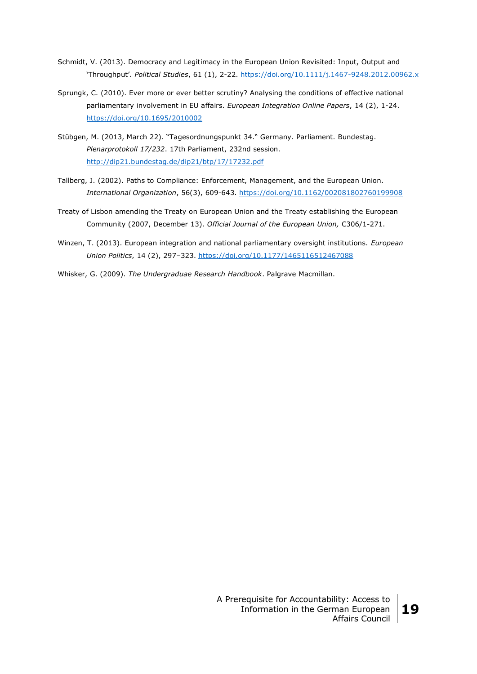- Schmidt, V. (2013). Democracy and Legitimacy in the European Union Revisited: Input, Output and 'Throughput'. *Political Studies*, 61 (1), 2-22.<https://doi.org/10.1111/j.1467-9248.2012.00962.x>
- Sprungk, C. (2010). Ever more or ever better scrutiny? Analysing the conditions of effective national parliamentary involvement in EU affairs. *European Integration Online Papers*, 14 (2), 1-24. <https://doi.org/10.1695/2010002>
- Stübgen, M. (2013, March 22). "Tagesordnungspunkt 34." Germany. Parliament. Bundestag. *Plenarprotokoll 17/232*. 17th Parliament, 232nd session. <http://dip21.bundestag.de/dip21/btp/17/17232.pdf>
- Tallberg, J. (2002). Paths to Compliance: Enforcement, Management, and the European Union. *International Organization*, 56(3), 609-643.<https://doi.org/10.1162/002081802760199908>
- Treaty of Lisbon amending the Treaty on European Union and the Treaty establishing the European Community (2007, December 13). *Official Journal of the European Union,* C306/1-271.
- Winzen, T. (2013). European integration and national parliamentary oversight institutions. *European Union Politics*, 14 (2), 297–323.<https://doi.org/10.1177/1465116512467088>
- Whisker, G. (2009). *The Undergraduae Research Handbook*. Palgrave Macmillan.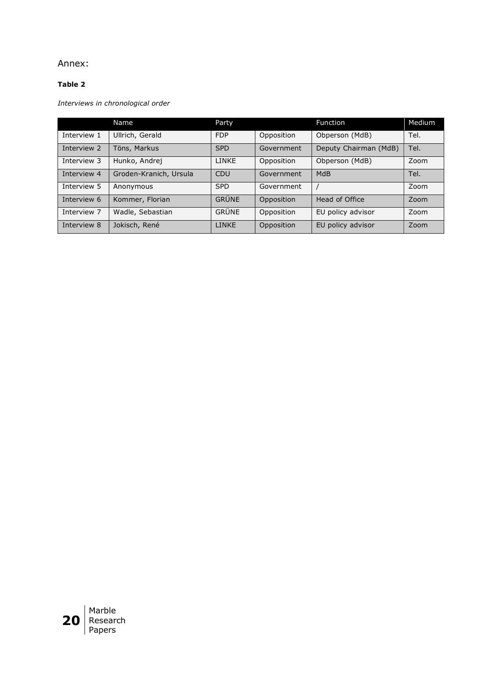# Annex:

# **Table 2**

*Interviews in chronological order*

|             | Name                   | Party        |            | <b>Function</b>       | Medium |
|-------------|------------------------|--------------|------------|-----------------------|--------|
| Interview 1 | Ullrich, Gerald        | <b>FDP</b>   | Opposition | Obperson (MdB)        | Tel.   |
| Interview 2 | Töns, Markus           | <b>SPD</b>   | Government | Deputy Chairman (MdB) | Tel.   |
| Interview 3 | Hunko, Andrej          | <b>LINKE</b> | Opposition | Obperson (MdB)        | Zoom   |
| Interview 4 | Groden-Kranich, Ursula | CDU          | Government | <b>MdB</b>            | Tel.   |
| Interview 5 | Anonymous              | <b>SPD</b>   | Government |                       | Zoom   |
| Interview 6 | Kommer, Florian        | <b>GRÜNE</b> | Opposition | Head of Office        | Zoom   |
| Interview 7 | Wadle, Sebastian       | <b>GRÜNE</b> | Opposition | EU policy advisor     | Zoom   |
| Interview 8 | Jokisch, René          | <b>LINKE</b> | Opposition | EU policy advisor     | Zoom   |